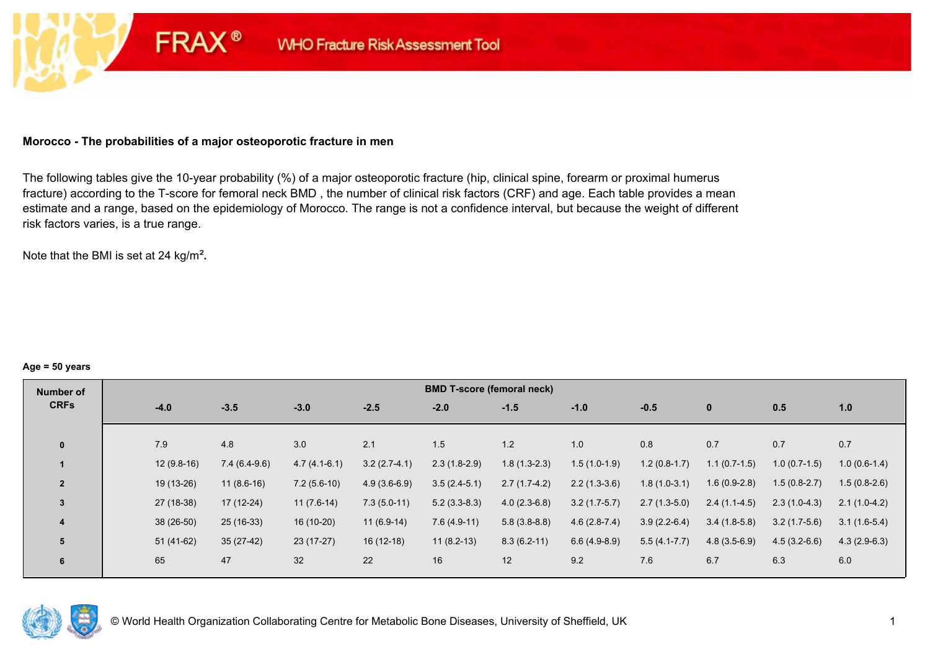### **Morocco - The probabilities of a major osteoporotic fracture in men**

**FRAX®** 

The following tables give the 10-year probability (%) of a major osteoporotic fracture (hip, clinical spine, forearm or proximal humerus fracture) according to the T-score for femoral neck BMD , the number of clinical risk factors (CRF) and age. Each table provides a mean estimate and a range, based on the epidemiology of Morocco. The range is not a confidence interval, but because the weight of different risk factors varies, is a true range.

Note that the BMI is set at 24 kg/m²**.** 

#### **Age = 50 years**

| <b>Number of</b>        |              |                |                |                | <b>BMD T-score (femoral neck)</b> |                |                |                |                |                |                |
|-------------------------|--------------|----------------|----------------|----------------|-----------------------------------|----------------|----------------|----------------|----------------|----------------|----------------|
| <b>CRFs</b>             | $-4.0$       | $-3.5$         | $-3.0$         | $-2.5$         | $-2.0$                            | $-1.5$         | $-1.0$         | $-0.5$         | $\mathbf{0}$   | 0.5            | 1.0            |
|                         |              |                |                |                |                                   |                |                |                |                |                |                |
| $\mathbf{0}$            | 7.9          | 4.8            | 3.0            | 2.1            | 1.5                               | 1.2            | 1.0            | 0.8            | 0.7            | 0.7            | 0.7            |
|                         | $12(9.8-16)$ | $7.4(6.4-9.6)$ | $4.7(4.1-6.1)$ | $3.2(2.7-4.1)$ | $2.3(1.8-2.9)$                    | $1.8(1.3-2.3)$ | $1.5(1.0-1.9)$ | $1.2(0.8-1.7)$ | $1.1(0.7-1.5)$ | $1.0(0.7-1.5)$ | $1.0(0.6-1.4)$ |
| $\overline{2}$          | 19 (13-26)   | $11(8.6-16)$   | $7.2(5.6-10)$  | $4.9(3.6-6.9)$ | $3.5(2.4-5.1)$                    | $2.7(1.7-4.2)$ | $2.2(1.3-3.6)$ | $1.8(1.0-3.1)$ | $1.6(0.9-2.8)$ | $1.5(0.8-2.7)$ | $1.5(0.8-2.6)$ |
| $\overline{3}$          | 27 (18-38)   | $17(12-24)$    | $11(7.6-14)$   | $7.3(5.0-11)$  | $5.2(3.3-8.3)$                    | $4.0(2.3-6.8)$ | $3.2(1.7-5.7)$ | $2.7(1.3-5.0)$ | $2.4(1.1-4.5)$ | $2.3(1.0-4.3)$ | $2.1(1.0-4.2)$ |
| $\overline{\mathbf{4}}$ | $38(26-50)$  | $25(16-33)$    | 16 (10-20)     | $11(6.9-14)$   | $7.6(4.9-11)$                     | $5.8(3.8-8.8)$ | $4.6(2.8-7.4)$ | $3.9(2.2-6.4)$ | $3.4(1.8-5.8)$ | $3.2(1.7-5.6)$ | $3.1(1.6-5.4)$ |
| 5                       | 51 (41-62)   | $35(27-42)$    | $23(17-27)$    | $16(12-18)$    | $11(8.2-13)$                      | $8.3(6.2-11)$  | $6.6(4.9-8.9)$ | $5.5(4.1-7.7)$ | $4.8(3.5-6.9)$ | $4.5(3.2-6.6)$ | $4.3(2.9-6.3)$ |
| $6\phantom{1}6$         | 65           | 47             | 32             | 22             | 16                                | 12             | 9.2            | 7.6            | 6.7            | 6.3            | 6.0            |

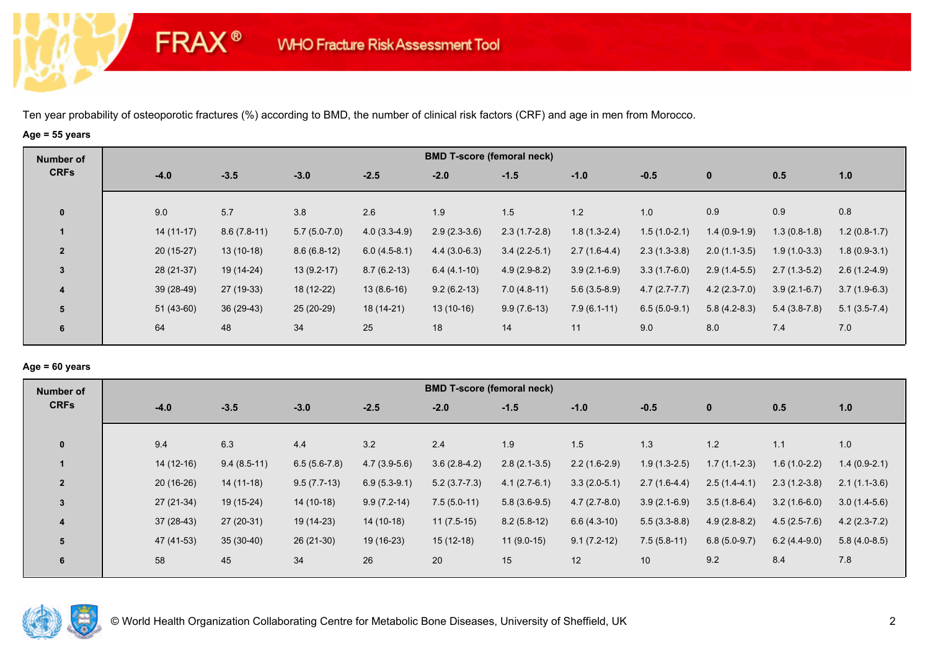# **Age = 55 years**

**FRAX®** 

| Number of               |             |               |                |                | <b>BMD T-score (femoral neck)</b> |                |                |                |                |                |                |
|-------------------------|-------------|---------------|----------------|----------------|-----------------------------------|----------------|----------------|----------------|----------------|----------------|----------------|
| <b>CRFs</b>             | $-4.0$      | $-3.5$        | $-3.0$         | $-2.5$         | $-2.0$                            | $-1.5$         | $-1.0$         | $-0.5$         | $\mathbf{0}$   | 0.5            | 1.0            |
| $\mathbf{0}$            | 9.0         | 5.7           | 3.8            | 2.6            | 1.9                               | 1.5            | 1.2            | 1.0            | 0.9            | 0.9            | 0.8            |
|                         | $14(11-17)$ | $8.6(7.8-11)$ | $5.7(5.0-7.0)$ | $4.0(3.3-4.9)$ | $2.9(2.3-3.6)$                    | $2.3(1.7-2.8)$ | $1.8(1.3-2.4)$ | $1.5(1.0-2.1)$ | $1.4(0.9-1.9)$ | $1.3(0.8-1.8)$ | $1.2(0.8-1.7)$ |
| $\overline{2}$          | $20(15-27)$ | $13(10-18)$   | $8.6(6.8-12)$  | $6.0(4.5-8.1)$ | $4.4(3.0-6.3)$                    | $3.4(2.2-5.1)$ | $2.7(1.6-4.4)$ | $2.3(1.3-3.8)$ | $2.0(1.1-3.5)$ | $1.9(1.0-3.3)$ | $1.8(0.9-3.1)$ |
| 3                       | 28 (21-37)  | 19 (14-24)    | $13(9.2-17)$   | $8.7(6.2-13)$  | $6.4(4.1-10)$                     | $4.9(2.9-8.2)$ | $3.9(2.1-6.9)$ | $3.3(1.7-6.0)$ | $2.9(1.4-5.5)$ | $2.7(1.3-5.2)$ | $2.6(1.2-4.9)$ |
| $\overline{\mathbf{4}}$ | $39(28-49)$ | 27 (19-33)    | 18 (12-22)     | $13(8.6-16)$   | $9.2(6.2-13)$                     | $7.0(4.8-11)$  | $5.6(3.5-8.9)$ | $4.7(2.7-7.7)$ | $4.2(2.3-7.0)$ | $3.9(2.1-6.7)$ | $3.7(1.9-6.3)$ |
| 5                       | $51(43-60)$ | 36 (29-43)    | 25 (20-29)     | $18(14-21)$    | $13(10-16)$                       | $9.9(7.6-13)$  | $7.9(6.1-11)$  | $6.5(5.0-9.1)$ | $5.8(4.2-8.3)$ | $5.4(3.8-7.8)$ | $5.1(3.5-7.4)$ |
| 6                       | 64          | 48            | 34             | 25             | 18                                | 14             | 11             | 9.0            | 8.0            | 7.4            | 7.0            |

## **Age = 60 years**

| Number of               |             |               |                |                | <b>BMD T-score (femoral neck)</b> |                |                |                 |                |                |                |
|-------------------------|-------------|---------------|----------------|----------------|-----------------------------------|----------------|----------------|-----------------|----------------|----------------|----------------|
| <b>CRFs</b>             | $-4.0$      | $-3.5$        | $-3.0$         | $-2.5$         | $-2.0$                            | $-1.5$         | $-1.0$         | $-0.5$          | $\mathbf{0}$   | 0.5            | 1.0            |
| $\mathbf{0}$            | 9.4         | 6.3           | 4.4            | 3.2            | 2.4                               | 1.9            | 1.5            | 1.3             | 1.2            | 1.1            | 1.0            |
|                         | $14(12-16)$ | $9.4(8.5-11)$ | $6.5(5.6-7.8)$ | $4.7(3.9-5.6)$ | $3.6(2.8-4.2)$                    | $2.8(2.1-3.5)$ | $2.2(1.6-2.9)$ | $1.9(1.3-2.5)$  | $1.7(1.1-2.3)$ | $1.6(1.0-2.2)$ | $1.4(0.9-2.1)$ |
| $\overline{2}$          | $20(16-26)$ | $14(11-18)$   | $9.5(7.7-13)$  | $6.9(5.3-9.1)$ | $5.2(3.7-7.3)$                    | $4.1(2.7-6.1)$ | $3.3(2.0-5.1)$ | $2.7(1.6-4.4)$  | $2.5(1.4-4.1)$ | $2.3(1.2-3.8)$ | $2.1(1.1-3.6)$ |
| 3                       | $27(21-34)$ | 19 (15-24)    | 14 (10-18)     | $9.9(7.2-14)$  | $7.5(5.0-11)$                     | $5.8(3.6-9.5)$ | $4.7(2.7-8.0)$ | $3.9(2.1-6.9)$  | $3.5(1.8-6.4)$ | $3.2(1.6-6.0)$ | $3.0(1.4-5.6)$ |
| $\overline{\mathbf{4}}$ | $37(28-43)$ | $27(20-31)$   | 19 (14-23)     | $14(10-18)$    | $11(7.5-15)$                      | $8.2(5.8-12)$  | $6.6(4.3-10)$  | $5.5(3.3-8.8)$  | $4.9(2.8-8.2)$ | $4.5(2.5-7.6)$ | $4.2(2.3-7.2)$ |
| 5                       | 47 (41-53)  | $35(30-40)$   | 26 (21-30)     | 19 (16-23)     | $15(12-18)$                       | $11(9.0-15)$   | $9.1(7.2-12)$  | $7.5(5.8-11)$   | $6.8(5.0-9.7)$ | $6.2(4.4-9.0)$ | $5.8(4.0-8.5)$ |
| 6                       | 58          | 45            | 34             | 26             | 20                                | 15             | 12             | 10 <sup>1</sup> | 9.2            | 8.4            | 7.8            |

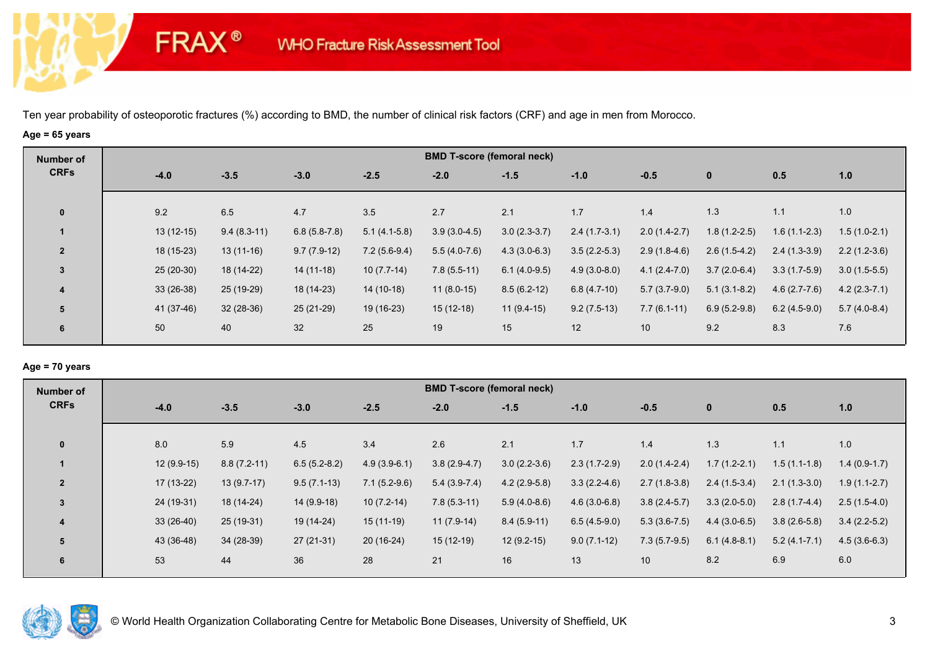# **Age = 65 years**

**FRAX®** 

| Number of               |             |               |                |                | <b>BMD T-score (femoral neck)</b> |                |                |                |                  |                |                |
|-------------------------|-------------|---------------|----------------|----------------|-----------------------------------|----------------|----------------|----------------|------------------|----------------|----------------|
| <b>CRFs</b>             | $-4.0$      | $-3.5$        | $-3.0$         | $-2.5$         | $-2.0$                            | $-1.5$         | $-1.0$         | $-0.5$         | $\mathbf{0}$     | 0.5            | 1.0            |
| $\mathbf 0$             | 9.2         | 6.5           | 4.7            | 3.5            | 2.7                               | 2.1            | 1.7            | 1.4            | 1.3              | 1.1            | 1.0            |
| $\blacktriangleleft$    | $13(12-15)$ | $9.4(8.3-11)$ | $6.8(5.8-7.8)$ | $5.1(4.1-5.8)$ | $3.9(3.0-4.5)$                    | $3.0(2.3-3.7)$ | $2.4(1.7-3.1)$ | $2.0(1.4-2.7)$ | $1.8(1.2-2.5)$   | $1.6(1.1-2.3)$ | $1.5(1.0-2.1)$ |
| $\overline{2}$          | 18 (15-23)  | $13(11-16)$   | $9.7(7.9-12)$  | $7.2(5.6-9.4)$ | $5.5(4.0-7.6)$                    | $4.3(3.0-6.3)$ | $3.5(2.2-5.3)$ | $2.9(1.8-4.6)$ | $2.6(1.5-4.2)$   | $2.4(1.3-3.9)$ | $2.2(1.2-3.6)$ |
| $\mathbf{3}$            | 25 (20-30)  | 18 (14-22)    | 14 (11-18)     | $10(7.7-14)$   | $7.8(5.5-11)$                     | $6.1(4.0-9.5)$ | $4.9(3.0-8.0)$ | $4.1(2.4-7.0)$ | $3.7(2.0-6.4)$   | $3.3(1.7-5.9)$ | $3.0(1.5-5.5)$ |
| $\overline{\mathbf{4}}$ | $33(26-38)$ | 25 (19-29)    | 18 (14-23)     | $14(10-18)$    | $11(8.0-15)$                      | $8.5(6.2-12)$  | $6.8(4.7-10)$  | $5.7(3.7-9.0)$ | $5.1(3.1 - 8.2)$ | $4.6(2.7-7.6)$ | $4.2(2.3-7.1)$ |
| 5                       | 41 (37-46)  | $32(28-36)$   | 25 (21-29)     | 19 (16-23)     | $15(12-18)$                       | $11(9.4-15)$   | $9.2(7.5-13)$  | $7.7(6.1-11)$  | $6.9(5.2-9.8)$   | $6.2(4.5-9.0)$ | $5.7(4.0-8.4)$ |
| 6                       | 50          | 40            | 32             | 25             | 19                                | 15             | 12             | 10             | 9.2              | 8.3            | 7.6            |

### **Age = 70 years**

| Number of      |        |              |               |                |                | <b>BMD T-score (femoral neck)</b> |                |                |                |                |                  |                |
|----------------|--------|--------------|---------------|----------------|----------------|-----------------------------------|----------------|----------------|----------------|----------------|------------------|----------------|
| <b>CRFs</b>    | $-4.0$ |              | $-3.5$        | $-3.0$         | $-2.5$         | $-2.0$                            | $-1.5$         | $-1.0$         | $-0.5$         | $\mathbf{0}$   | 0.5              | 1.0            |
| $\mathbf{0}$   | 8.0    |              | 5.9           | 4.5            | 3.4            | 2.6                               | 2.1            | 1.7            | 1.4            | 1.3            | 1.1              | 1.0            |
|                |        | $12(9.9-15)$ | $8.8(7.2-11)$ | $6.5(5.2-8.2)$ | $4.9(3.9-6.1)$ | $3.8(2.9-4.7)$                    | $3.0(2.2-3.6)$ | $2.3(1.7-2.9)$ | $2.0(1.4-2.4)$ | $1.7(1.2-2.1)$ | $1.5(1.1-1.8)$   | $1.4(0.9-1.7)$ |
| $\overline{2}$ |        | $17(13-22)$  | $13(9.7-17)$  | $9.5(7.1-13)$  | $7.1(5.2-9.6)$ | $5.4(3.9-7.4)$                    | $4.2(2.9-5.8)$ | $3.3(2.2-4.6)$ | $2.7(1.8-3.8)$ | $2.4(1.5-3.4)$ | $2.1(1.3-3.0)$   | $1.9(1.1-2.7)$ |
| $\overline{3}$ |        | 24 (19-31)   | 18 (14-24)    | $14(9.9-18)$   | $10(7.2-14)$   | $7.8(5.3-11)$                     | $5.9(4.0-8.6)$ | $4.6(3.0-6.8)$ | $3.8(2.4-5.7)$ | $3.3(2.0-5.0)$ | $2.8(1.7-4.4)$   | $2.5(1.5-4.0)$ |
| 4              |        | $33(26-40)$  | 25 (19-31)    | 19 (14-24)     | $15(11-19)$    | $11(7.9-14)$                      | $8.4(5.9-11)$  | $6.5(4.5-9.0)$ | $5.3(3.6-7.5)$ | $4.4(3.0-6.5)$ | $3.8(2.6-5.8)$   | $3.4(2.2-5.2)$ |
| 5              |        | 43 (36-48)   | 34 (28-39)    | $27(21-31)$    | $20(16-24)$    | $15(12-19)$                       | $12(9.2-15)$   | $9.0(7.1-12)$  | $7.3(5.7-9.5)$ | $6.1(4.8-8.1)$ | $5.2(4.1 - 7.1)$ | $4.5(3.6-6.3)$ |
| 6              | 53     |              | 44            | 36             | 28             | 21                                | 16             | 13             | 10             | 8.2            | 6.9              | 6.0            |

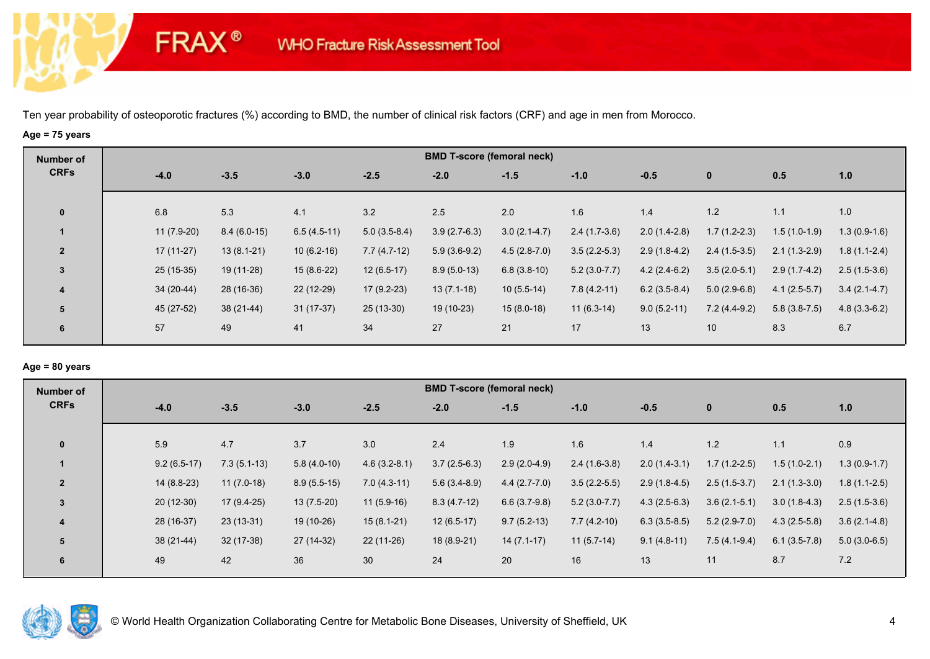# **Age = 75 years**

**FRAX®** 

| Number of               |              |               |               |                | <b>BMD T-score (femoral neck)</b> |                |                |                |                |                |                |
|-------------------------|--------------|---------------|---------------|----------------|-----------------------------------|----------------|----------------|----------------|----------------|----------------|----------------|
| <b>CRFs</b>             | $-4.0$       | $-3.5$        | $-3.0$        | $-2.5$         | $-2.0$                            | $-1.5$         | $-1.0$         | $-0.5$         | $\mathbf{0}$   | 0.5            | 1.0            |
| $\mathbf 0$             | 6.8          | 5.3           | 4.1           | 3.2            | 2.5                               | 2.0            | 1.6            | 1.4            | 1.2            | 1.1            | 1.0            |
|                         | $11(7.9-20)$ | $8.4(6.0-15)$ | $6.5(4.5-11)$ | $5.0(3.5-8.4)$ | $3.9(2.7-6.3)$                    | $3.0(2.1-4.7)$ | $2.4(1.7-3.6)$ | $2.0(1.4-2.8)$ | $1.7(1.2-2.3)$ | $1.5(1.0-1.9)$ | $1.3(0.9-1.6)$ |
| $\overline{2}$          | $17(11-27)$  | $13(8.1-21)$  | $10(6.2-16)$  | $7.7(4.7-12)$  | $5.9(3.6-9.2)$                    | $4.5(2.8-7.0)$ | $3.5(2.2-5.3)$ | $2.9(1.8-4.2)$ | $2.4(1.5-3.5)$ | $2.1(1.3-2.9)$ | $1.8(1.1-2.4)$ |
| $\mathbf{3}$            | $25(15-35)$  | 19 (11-28)    | $15(8.6-22)$  | $12(6.5-17)$   | $8.9(5.0-13)$                     | $6.8(3.8-10)$  | $5.2(3.0-7.7)$ | $4.2(2.4-6.2)$ | $3.5(2.0-5.1)$ | $2.9(1.7-4.2)$ | $2.5(1.5-3.6)$ |
| $\overline{\mathbf{4}}$ | 34 (20-44)   | 28 (16-36)    | $22(12-29)$   | $17(9.2-23)$   | $13(7.1-18)$                      | $10(5.5-14)$   | $7.8(4.2-11)$  | $6.2(3.5-8.4)$ | $5.0(2.9-6.8)$ | $4.1(2.5-5.7)$ | $3.4(2.1-4.7)$ |
| 5                       | 45 (27-52)   | $38(21-44)$   | $31(17-37)$   | 25 (13-30)     | 19 (10-23)                        | $15(8.0-18)$   | $11(6.3-14)$   | $9.0(5.2-11)$  | $7.2(4.4-9.2)$ | $5.8(3.8-7.5)$ | $4.8(3.3-6.2)$ |
| 6                       | 57           | 49            | 41            | 34             | 27                                | 21             | 17             | 13             | 10             | 8.3            | 6.7            |

### **Age = 80 years**

| Number of      |               |               |               |                | <b>BMD T-score (femoral neck)</b> |                |                |                |                |                |                |
|----------------|---------------|---------------|---------------|----------------|-----------------------------------|----------------|----------------|----------------|----------------|----------------|----------------|
| <b>CRFs</b>    | $-4.0$        | $-3.5$        | $-3.0$        | $-2.5$         | $-2.0$                            | $-1.5$         | $-1.0$         | $-0.5$         | $\mathbf{0}$   | 0.5            | 1.0            |
|                |               |               |               |                |                                   |                |                |                |                |                |                |
| $\mathbf{0}$   | 5.9           | 4.7           | 3.7           | 3.0            | 2.4                               | 1.9            | 1.6            | 1.4            | 1.2            | 1.1            | 0.9            |
|                | $9.2(6.5-17)$ | $7.3(5.1-13)$ | $5.8(4.0-10)$ | $4.6(3.2-8.1)$ | $3.7(2.5-6.3)$                    | $2.9(2.0-4.9)$ | $2.4(1.6-3.8)$ | $2.0(1.4-3.1)$ | $1.7(1.2-2.5)$ | $1.5(1.0-2.1)$ | $1.3(0.9-1.7)$ |
| $\overline{2}$ | $14(8.8-23)$  | $11(7.0-18)$  | $8.9(5.5-15)$ | $7.0(4.3-11)$  | $5.6(3.4-8.9)$                    | $4.4(2.7-7.0)$ | $3.5(2.2-5.5)$ | $2.9(1.8-4.5)$ | $2.5(1.5-3.7)$ | $2.1(1.3-3.0)$ | $1.8(1.1-2.5)$ |
| 3              | $20(12-30)$   | $17(9.4-25)$  | $13(7.5-20)$  | $11(5.9-16)$   | $8.3(4.7-12)$                     | $6.6(3.7-9.8)$ | $5.2(3.0-7.7)$ | $4.3(2.5-6.3)$ | $3.6(2.1-5.1)$ | $3.0(1.8-4.3)$ | $2.5(1.5-3.6)$ |
| 4              | 28 (16-37)    | $23(13-31)$   | 19 (10-26)    | $15(8.1-21)$   | $12(6.5-17)$                      | $9.7(5.2-13)$  | $7.7(4.2-10)$  | $6.3(3.5-8.5)$ | $5.2(2.9-7.0)$ | $4.3(2.5-5.8)$ | $3.6(2.1-4.8)$ |
| 5              | $38(21-44)$   | $32(17-38)$   | 27 (14-32)    | $22(11-26)$    | 18 (8.9-21)                       | $14(7.1-17)$   | $11(5.7-14)$   | $9.1(4.8-11)$  | $7.5(4.1-9.4)$ | $6.1(3.5-7.8)$ | $5.0(3.0-6.5)$ |
| 6              | 49            | 42            | 36            | 30             | 24                                | 20             | 16             | 13             | 11             | 8.7            | 7.2            |